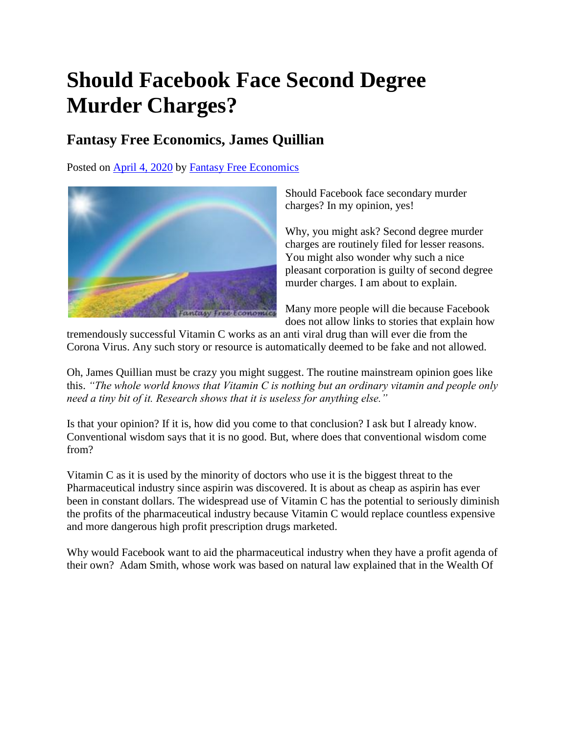## **Should Facebook Face Second Degree Murder Charges?**

## **Fantasy Free Economics, James Quillian**

Posted on [April 4, 2020](http://quillian.net/blog/?p=6968) by [Fantasy Free Economics](http://quillian.net/blog/author/james-quillian/)



Should Facebook face secondary murder charges? In my opinion, yes!

Why, you might ask? Second degree murder charges are routinely filed for lesser reasons. You might also wonder why such a nice pleasant corporation is guilty of second degree murder charges. I am about to explain.

Many more people will die because Facebook does not allow links to stories that explain how

tremendously successful Vitamin C works as an anti viral drug than will ever die from the Corona Virus. Any such story or resource is automatically deemed to be fake and not allowed.

Oh, James Quillian must be crazy you might suggest. The routine mainstream opinion goes like this. *"The whole world knows that Vitamin C is nothing but an ordinary vitamin and people only need a tiny bit of it. Research shows that it is useless for anything else."*

Is that your opinion? If it is, how did you come to that conclusion? I ask but I already know. Conventional wisdom says that it is no good. But, where does that conventional wisdom come from?

Vitamin C as it is used by the minority of doctors who use it is the biggest threat to the Pharmaceutical industry since aspirin was discovered. It is about as cheap as aspirin has ever been in constant dollars. The widespread use of Vitamin C has the potential to seriously diminish the profits of the pharmaceutical industry because Vitamin C would replace countless expensive and more dangerous high profit prescription drugs marketed.

Why would Facebook want to aid the pharmaceutical industry when they have a profit agenda of their own? Adam Smith, whose work was based on natural law explained that in the Wealth Of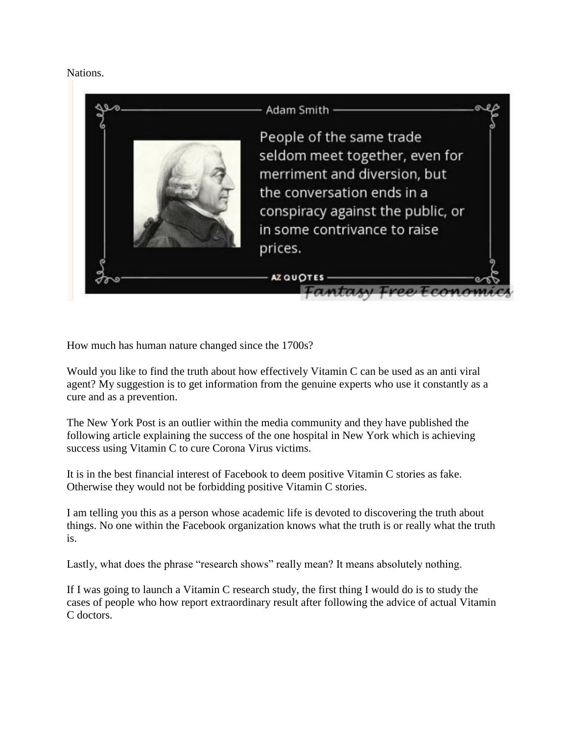Nations.



How much has human nature changed since the 1700s?

Would you like to find the truth about how effectively Vitamin C can be used as an anti viral agent? My suggestion is to get information from the genuine experts who use it constantly as a cure and as a prevention.

The New York Post is an outlier within the media community and they have published the following article explaining the success of the one hospital in New York which is achieving success using Vitamin C to cure Corona Virus victims.

It is in the best financial interest of Facebook to deem positive Vitamin C stories as fake. Otherwise they would not be forbidding positive Vitamin C stories.

I am telling you this as a person whose academic life is devoted to discovering the truth about things. No one within the Facebook organization knows what the truth is or really what the truth is.

Lastly, what does the phrase "research shows" really mean? It means absolutely nothing.

If I was going to launch a Vitamin C research study, the first thing I would do is to study the cases of people who how report extraordinary result after following the advice of actual Vitamin C doctors.